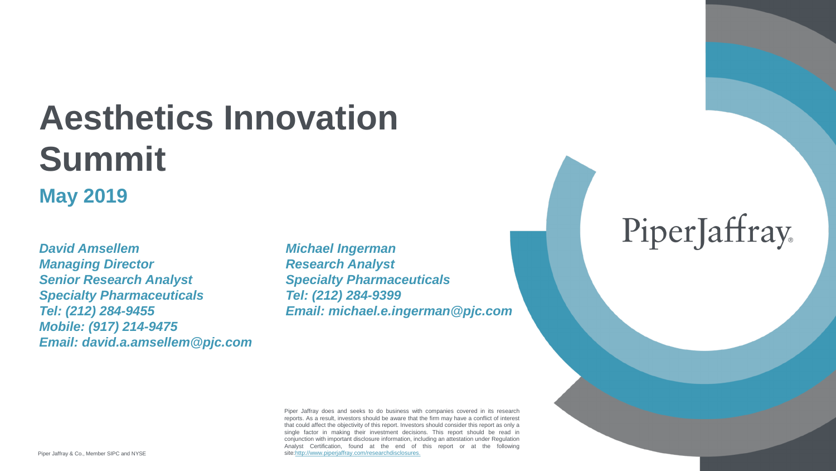# **Aesthetics Innovation Summit**

### **May 2019**

*David Amsellem Michael Ingerman Managing Director Research Analyst Senior Research Analyst Specialty Pharmaceuticals Specialty Pharmaceuticals Tel: (212) 284-9399 Mobile: (917) 214-9475 Email: david.a.amsellem@pjc.com*

*Tel: (212) 284-9455 Email: michael.e.ingerman@pjc.com*

# PiperJaffray

Piper Jaffray does and seeks to do business with companies covered in its research reports. As a result, investors should be aware that the firm may have a conflict of interest that could affect the objectivity of this report. Investors should consider this report as only a single factor in making their investment decisions. This report should be read in conjunction with important disclosure information, including an attestation under Regulation Analyst Certification, found at the end of this report or at the following site:[http://www.piperjaffray.com/researchdisclosures.](http://www.piperjaffray.com/researchdisclosures)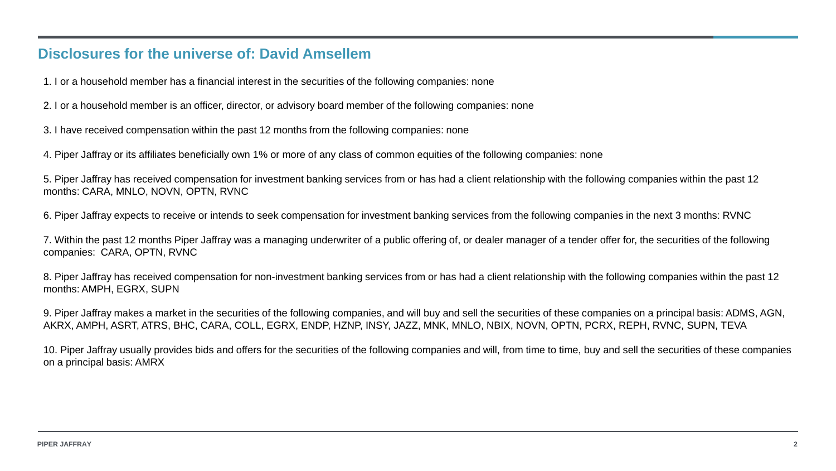### **Disclosures for the universe of: David Amsellem**

1. I or a household member has a financial interest in the securities of the following companies: none

2. I or a household member is an officer, director, or advisory board member of the following companies: none

3. I have received compensation within the past 12 months from the following companies: none

4. Piper Jaffray or its affiliates beneficially own 1% or more of any class of common equities of the following companies: none

5. Piper Jaffray has received compensation for investment banking services from or has had a client relationship with the following companies within the past 12 months: CARA, MNLO, NOVN, OPTN, RVNC

6. Piper Jaffray expects to receive or intends to seek compensation for investment banking services from the following companies in the next 3 months: RVNC

7. Within the past 12 months Piper Jaffray was a managing underwriter of a public offering of, or dealer manager of a tender offer for, the securities of the following companies: CARA, OPTN, RVNC

8. Piper Jaffray has received compensation for non-investment banking services from or has had a client relationship with the following companies within the past 12 months: AMPH, EGRX, SUPN

9. Piper Jaffray makes a market in the securities of the following companies, and will buy and sell the securities of these companies on a principal basis: ADMS, AGN, AKRX, AMPH, ASRT, ATRS, BHC, CARA, COLL, EGRX, ENDP, HZNP, INSY, JAZZ, MNK, MNLO, NBIX, NOVN, OPTN, PCRX, REPH, RVNC, SUPN, TEVA

10. Piper Jaffray usually provides bids and offers for the securities of the following companies and will, from time to time, buy and sell the securities of these companies on a principal basis: AMRX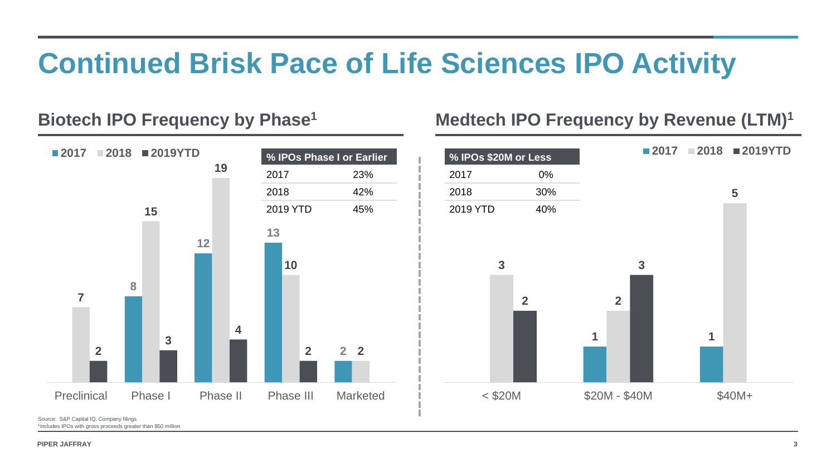



# **Continued Brisk Pace of Life Sciences IPO Activity**

### Biotech IPO Frequency by Phase<sup>1</sup> Medtech IPO Frequency by Revenue (LTM)<sup>1</sup>

#### **2** Preclinical Phase I Phase II Phase III Marketed **2018 2019YTD 1**  $<$  \$20M  $<$  \$20M - \$40M  $<$  \$40M + **2018 2019YTD % IPOs Phase I or Earlier** 23% 42% 2019 YTD 45% **% IPOs \$20M or Less** 0% 30% 2019 YTD 40%

Source: S&P Capital IQ, Company filings Includes IPOs with gross proceeds greater than \$50 million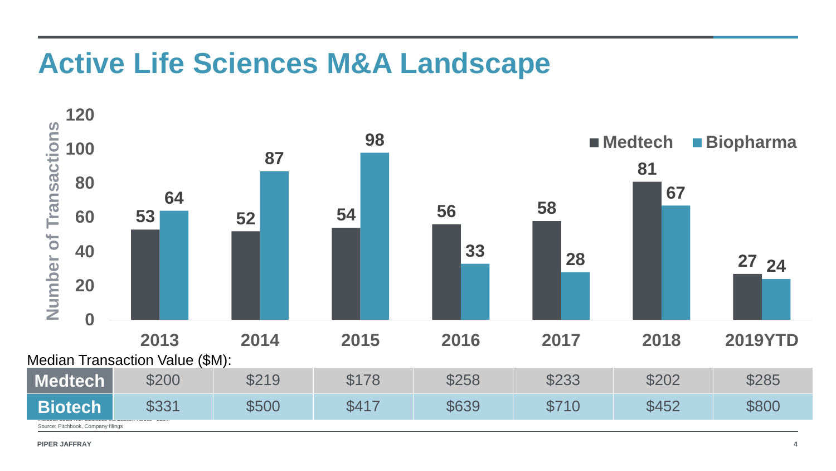# **Active Life Sciences M&A Landscape**

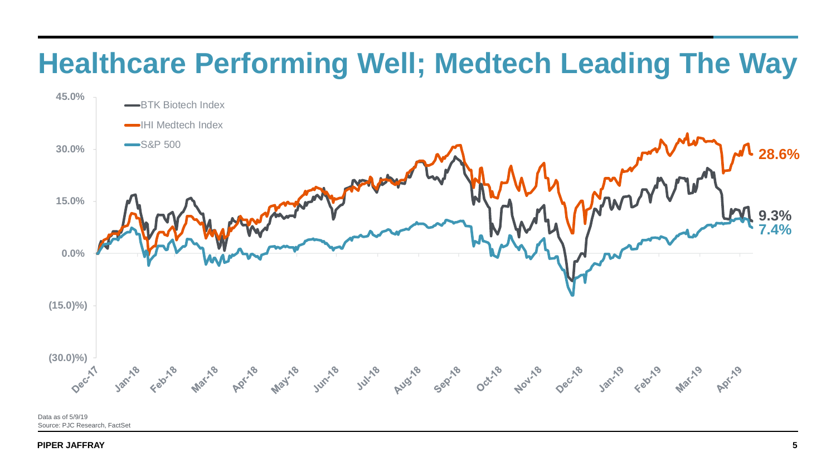



# **Healthcare Performing Well; Medtech Leading The Way**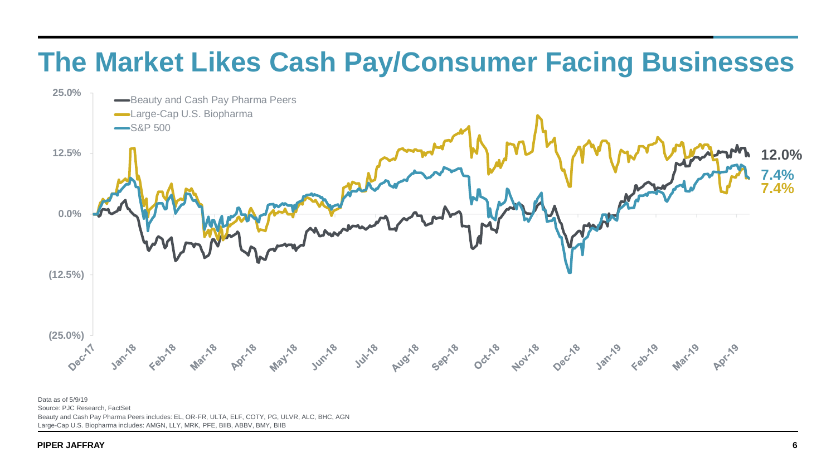

# **The Market Likes Cash Pay/Consumer Facing Businesses**

Data as of 5/9/19 Source: PJC Research, FactSet Beauty and Cash Pay Pharma Peers includes: EL, OR-FR, ULTA, ELF, COTY, PG, ULVR, ALC, BHC, AGN Large-Cap U.S. Biopharma includes: AMGN, LLY, MRK, PFE, BIIB, ABBV, BMY, BIIB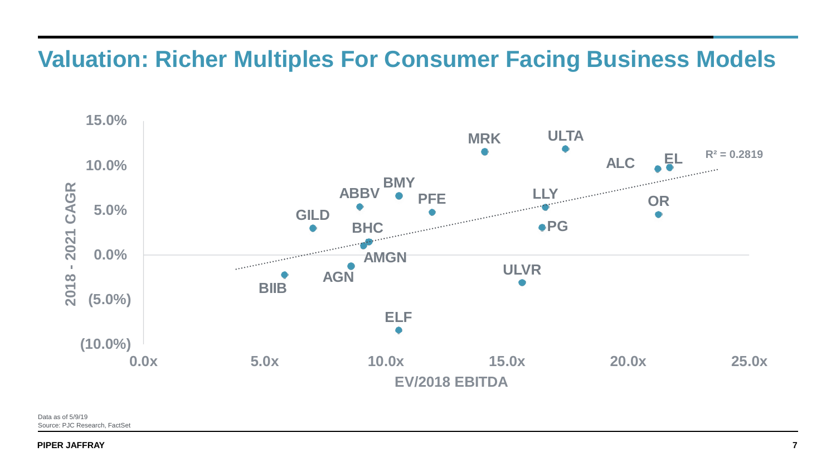

# **Valuation: Richer Multiples For Consumer Facing Business Models**

Data as of 5/9/19 Source: PJC Research, FactSet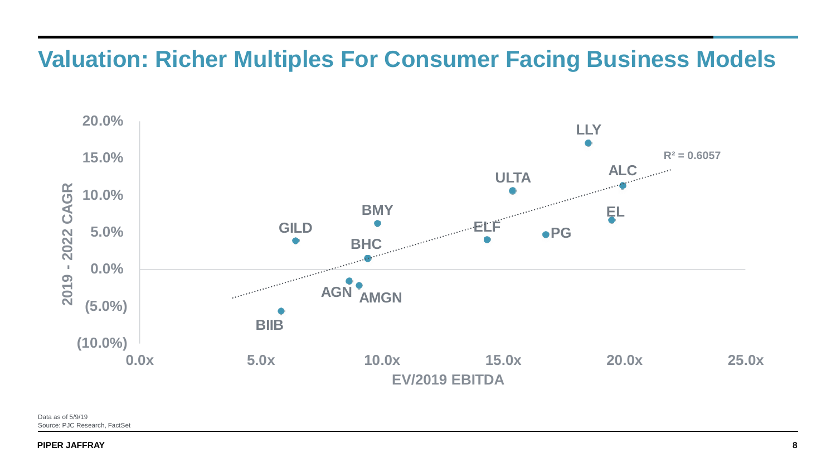

**R² = 0.6057**





Data as of 5/9/19 Source: PJC Research, FactSet

# **Valuation: Richer Multiples For Consumer Facing Business Models**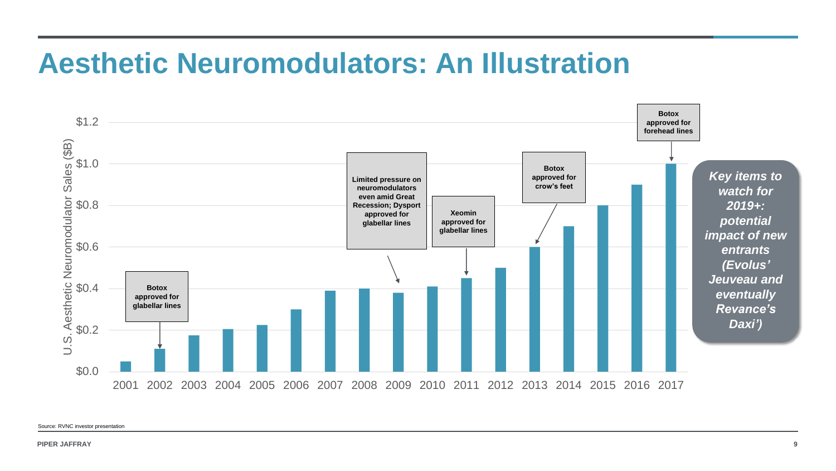# **Aesthetic Neuromodulators: An Illustration**



Source: RVNC investor presentation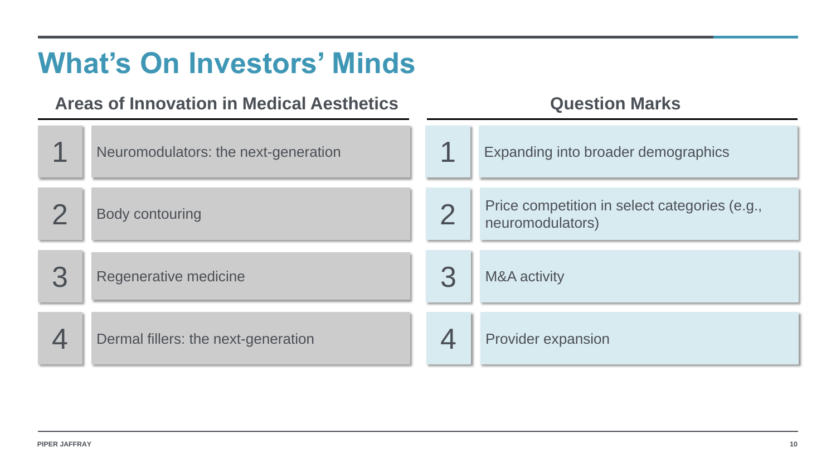### mographics

### categories (e.g.,

# **What's On Investors' Minds**

# Areas of Innovation in Medical Aesthetics **Question Marks**

| Neuromodulators: the next-generation |   | <b>Expanding into broader der</b>               |
|--------------------------------------|---|-------------------------------------------------|
| <b>Body contouring</b>               |   | Price competition in select<br>neuromodulators) |
| Regenerative medicine                | 3 | <b>M&amp;A activity</b>                         |
| Dermal fillers: the next-generation  |   | <b>Provider expansion</b>                       |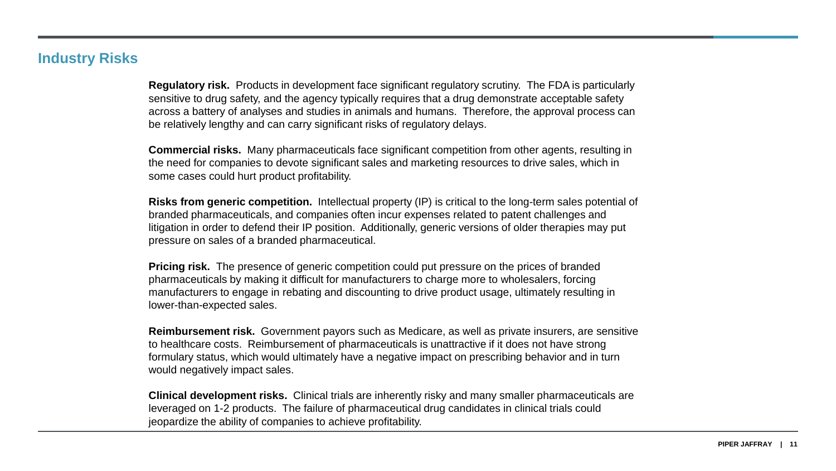### **Industry Risks**

**Regulatory risk.** Products in development face significant regulatory scrutiny. The FDA is particularly sensitive to drug safety, and the agency typically requires that a drug demonstrate acceptable safety across a battery of analyses and studies in animals and humans. Therefore, the approval process can be relatively lengthy and can carry significant risks of regulatory delays.

**Commercial risks.** Many pharmaceuticals face significant competition from other agents, resulting in the need for companies to devote significant sales and marketing resources to drive sales, which in some cases could hurt product profitability.

**Risks from generic competition.** Intellectual property (IP) is critical to the long-term sales potential of branded pharmaceuticals, and companies often incur expenses related to patent challenges and litigation in order to defend their IP position. Additionally, generic versions of older therapies may put pressure on sales of a branded pharmaceutical.

**Pricing risk.** The presence of generic competition could put pressure on the prices of branded pharmaceuticals by making it difficult for manufacturers to charge more to wholesalers, forcing manufacturers to engage in rebating and discounting to drive product usage, ultimately resulting in lower-than-expected sales.

**Reimbursement risk.** Government payors such as Medicare, as well as private insurers, are sensitive to healthcare costs. Reimbursement of pharmaceuticals is unattractive if it does not have strong formulary status, which would ultimately have a negative impact on prescribing behavior and in turn would negatively impact sales.

**Clinical development risks.** Clinical trials are inherently risky and many smaller pharmaceuticals are leveraged on 1-2 products. The failure of pharmaceutical drug candidates in clinical trials could jeopardize the ability of companies to achieve profitability.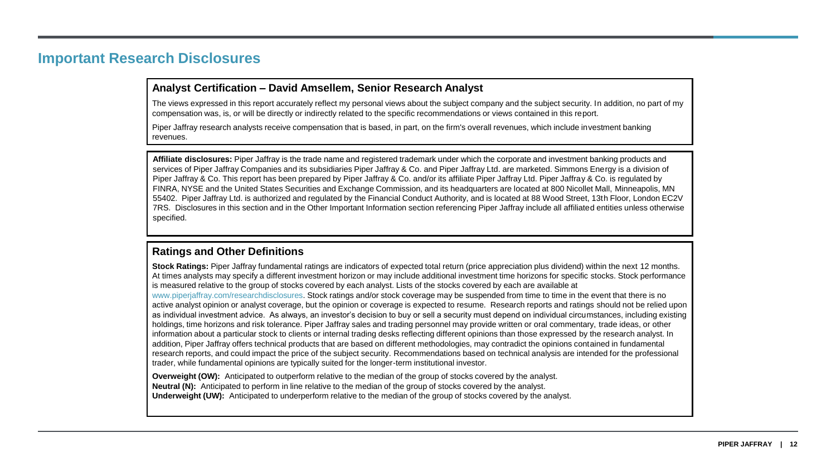#### **Important Research Disclosures**

#### **Analyst Certification – David Amsellem, Senior Research Analyst**

The views expressed in this report accurately reflect my personal views about the subject company and the subject security. In addition, no part compensation was, is, or will be directly or indirectly related to the specific recommendations or views contained in this report.

Piper Jaffray research analysts receive compensation that is based, in part, on the firm's overall revenues, which include investment banking revenues.

**Stock Ratings:** Piper Jaffray fundamental ratings are indicators of expected total return (price appreciation plus dividend) within the next 12 At times analysts may specify a different investment horizon or may include additional investment time horizons for specific stocks. Stock per is measured relative to the group of stocks covered by each analyst. Lists of the stocks covered by each are available at

#### **Ratings and Other Definitions**

www.piperjaffray.com/researchdisclosures. Stock ratings and/or stock coverage may be suspended from time to time in the event that there is active analyst opinion or analyst coverage, but the opinion or coverage is expected to resume. Research reports and ratings should not be re as individual investment advice. As always, an investor's decision to buy or sell a security must depend on individual circumstances, includin holdings, time horizons and risk tolerance. Piper Jaffray sales and trading personnel may provide written or oral commentary, trade ideas, or information about a particular stock to clients or internal trading desks reflecting different opinions than those expressed by the research anal addition, Piper Jaffray offers technical products that are based on different methodologies, may contradict the opinions contained in fundamental research reports, and could impact the price of the subject security. Recommendations based on technical analysis are intended for the profe trader, while fundamental opinions are typically suited for the longer-term institutional investor.

**Overweight (OW):** Anticipated to outperform relative to the median of the group of stocks covered by the analyst. **Neutral (N):** Anticipated to perform in line relative to the median of the group of stocks covered by the analyst. **Underweight (UW):** Anticipated to underperform relative to the median of the group of stocks covered by the analyst.

| art of my                                                                  |  |
|----------------------------------------------------------------------------|--|
|                                                                            |  |
| and<br>on of<br>by<br>lis, MN<br>on EC2V<br>otherwise                      |  |
|                                                                            |  |
| months.<br>formance                                                        |  |
|                                                                            |  |
| s no<br>elied upon<br>ng existing<br>other<br>lyst. In<br>ntal<br>essional |  |

Affiliate disclosures: Piper Jaffray is the trade name and registered trademark under which the corporate and investment banking products services of Piper Jaffray Companies and its subsidiaries Piper Jaffray & Co. and Piper Jaffray Ltd. are marketed. Simmons Energy is a division Piper Jaffray & Co. This report has been prepared by Piper Jaffray & Co. and/or its affiliate Piper Jaffray Ltd. Piper Jaffray & Co. is regulated FINRA, NYSE and the United States Securities and Exchange Commission, and its headquarters are located at 800 Nicollet Mall, Minneapol 55402. Piper Jaffray Ltd. is authorized and regulated by the Financial Conduct Authority, and is located at 88 Wood Street, 13th Floor, Londo 7RS. Disclosures in this section and in the Other Important Information section referencing Piper Jaffray include all affiliated entities unless otherwise. specified.